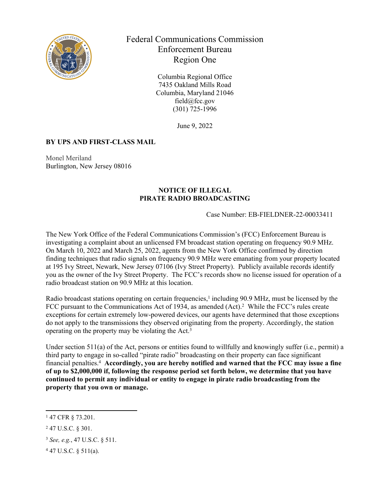

# Federal Communications Commission Enforcement Bureau Region One

Columbia Regional Office 7435 Oakland Mills Road Columbia, Maryland 21046 field@fcc.gov (301) 725-1996

June 9, 2022

## **BY UPS AND FIRST-CLASS MAIL**

Monel Meriland Burlington, New Jersey 08016

#### **NOTICE OF ILLEGAL PIRATE RADIO BROADCASTING**

#### Case Number: EB-FIELDNER-22-00033411

The New York Office of the Federal Communications Commission's (FCC) Enforcement Bureau is investigating a complaint about an unlicensed FM broadcast station operating on frequency 90.9 MHz. On March 10, 2022 and March 25, 2022, agents from the New York Office confirmed by direction finding techniques that radio signals on frequency 90.9 MHz were emanating from your property located at 195 Ivy Street, Newark, New Jersey 07106 (Ivy Street Property). Publicly available records identify you as the owner of the Ivy Street Property. The FCC's records show no license issued for operation of a radio broadcast station on 90.9 MHz at this location.

Radio broadcast stations operating on certain frequencies,<sup>1</sup> including 90.9 MHz, must be licensed by the FCC pursuant to the Communications Act of 1934, as amended (Act).<sup>2</sup> While the FCC's rules create exceptions for certain extremely low-powered devices, our agents have determined that those exceptions do not apply to the transmissions they observed originating from the property. Accordingly, the station operating on the property may be violating the Act.<sup>3</sup>

Under section 511(a) of the Act, persons or entities found to willfully and knowingly suffer (i.e., permit) a third party to engage in so-called "pirate radio" broadcasting on their property can face significant financial penalties.<sup>4</sup> **Accordingly, you are hereby notified and warned that the FCC may issue a fine of up to \$2,000,000 if, following the response period set forth below, we determine that you have continued to permit any individual or entity to engage in pirate radio broadcasting from the property that you own or manage.** 

<sup>1</sup> 47 CFR § 73.201.

<sup>2</sup> 47 U.S.C. § 301.

<sup>3</sup> *See, e.g.*, 47 U.S.C. § 511.

<sup>4</sup> 47 U.S.C. § 511(a).